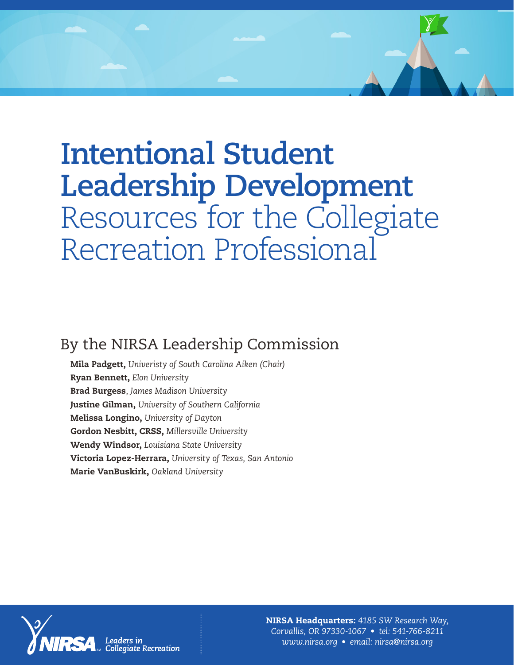# **Intentional Student Leadership Development**  Resources for the Collegiate Recreation Professional

# By the NIRSA Leadership Commission

Mila Padgett, *Univeristy of South Carolina Aiken (Chair)*  Ryan Bennett, *Elon University* Brad Burgess, *James Madison University* Justine Gilman, *University of Southern California* Melissa Longino, *University of Dayton* Gordon Nesbitt, CRSS, *Millersville University* Wendy Windsor, *Louisiana State University* Victoria Lopez-Herrara, *University of Texas, San Antonio* Marie VanBuskirk, *Oakland University*



NIRSA Headquarters: *4185 SW Research Way, Corvallis, OR 97330-1067 • tel: 541-766-8211 [www.nirsa.org](http://www.nirsa.org) • email: [nirsa@nirsa.org](mailto:nirsa@nirsa.org)*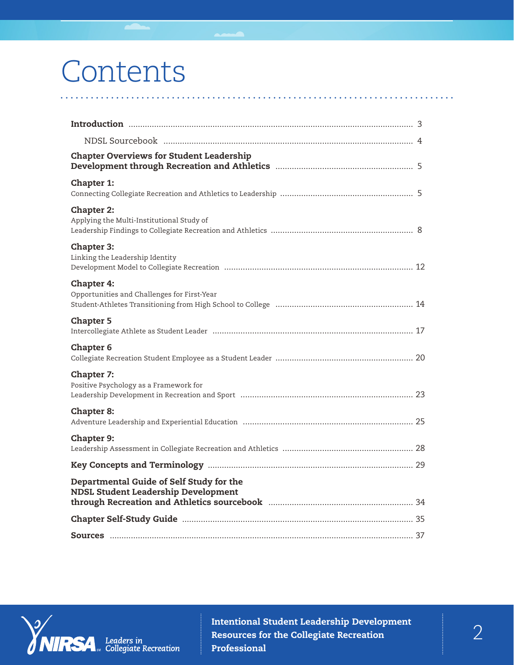# Contents

| <b>Chapter Overviews for Student Leadership</b>                                        |  |
|----------------------------------------------------------------------------------------|--|
| <b>Chapter 1:</b>                                                                      |  |
| <b>Chapter 2:</b><br>Applying the Multi-Institutional Study of                         |  |
| <b>Chapter 3:</b><br>Linking the Leadership Identity                                   |  |
| <b>Chapter 4:</b><br>Opportunities and Challenges for First-Year                       |  |
| <b>Chapter 5</b>                                                                       |  |
| <b>Chapter 6</b>                                                                       |  |
| <b>Chapter 7:</b><br>Positive Psychology as a Framework for                            |  |
| <b>Chapter 8:</b>                                                                      |  |
| <b>Chapter 9:</b>                                                                      |  |
|                                                                                        |  |
| Departmental Guide of Self Study for the<br><b>NDSL Student Leadership Development</b> |  |
|                                                                                        |  |
|                                                                                        |  |

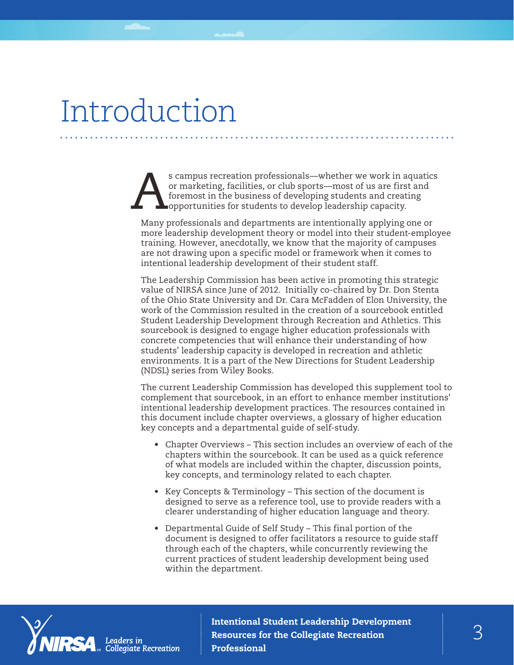# Introduction

s campus recreation professionals—whether we work in aquatics<br>or marketing, facilities, or club sports—most of us are first and<br>foremost in the business of developing students and creating<br>opportunities for students to dev or marketing, facilities, or club sports—most of us are first and foremost in the business of developing students and creating opportunities for students to develop leadership capacity.

Many professionals and departments are intentionally applying one or more leadership development theory or model into their student-employee training. However, anecdotally, we know that the majority of campuses are not drawing upon a specific model or framework when it comes to intentional leadership development of their student staff.

The Leadership Commission has been active in promoting this strategic value of NIRSA since June of 2012. Initially co-chaired by Dr. Don Stenta of the Ohio State University and Dr. Cara McFadden of Elon University, the work of the Commission resulted in the creation of a sourcebook entitled Student Leadership Development through Recreation and Athletics. This sourcebook is designed to engage higher education professionals with concrete competencies that will enhance their understanding of how students' leadership capacity is developed in recreation and athletic environments. It is a part of the New Directions for Student Leadership (NDSL) series from Wiley Books.

The current Leadership Commission has developed this supplement tool to complement that sourcebook, in an effort to enhance member institutions' intentional leadership development practices. The resources contained in this document include chapter overviews, a glossary of higher education key concepts and a departmental guide of self-study.

- Chapter Overviews This section includes an overview of each of the chapters within the sourcebook. It can be used as a quick reference of what models are included within the chapter, discussion points, key concepts, and terminology related to each chapter.
- Key Concepts & Terminology This section of the document is designed to serve as a reference tool, use to provide readers with a clearer understanding of higher education language and theory.
- Departmental Guide of Self Study This final portion of the document is designed to offer facilitators a resource to guide staff through each of the chapters, while concurrently reviewing the current practices of student leadership development being used within the department.

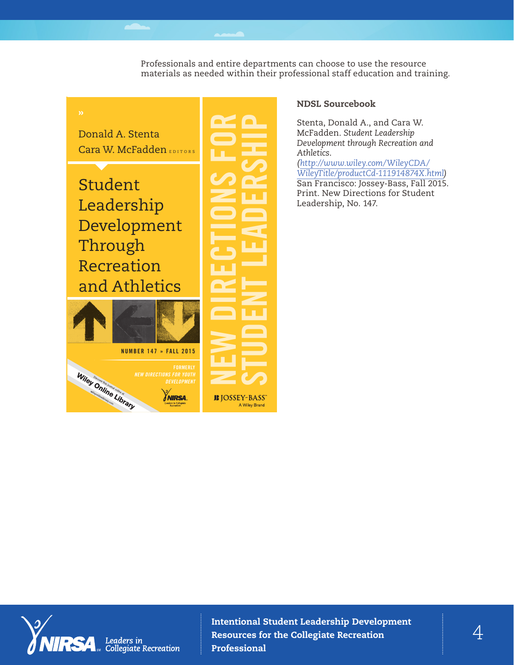Professionals and entire departments can choose to use the resource materials as needed within their professional staff education and training.



# NDSL Sourcebook

Stenta, Donald A., and Cara W. McFadden. *Student Leadership Development through Recreation and* 

*([http://www.wiley.com/WileyCDA/](http://www.wiley.com/WileyCDA/WileyTitle/productCd-111914874X.html) [WileyTitle/productCd-111914874X.html\)](http://www.wiley.com/WileyCDA/WileyTitle/productCd-111914874X.html)* San Francisco: Jossey-Bass, Fall 2015. Print. New Directions for Student Leadership, No. 147.

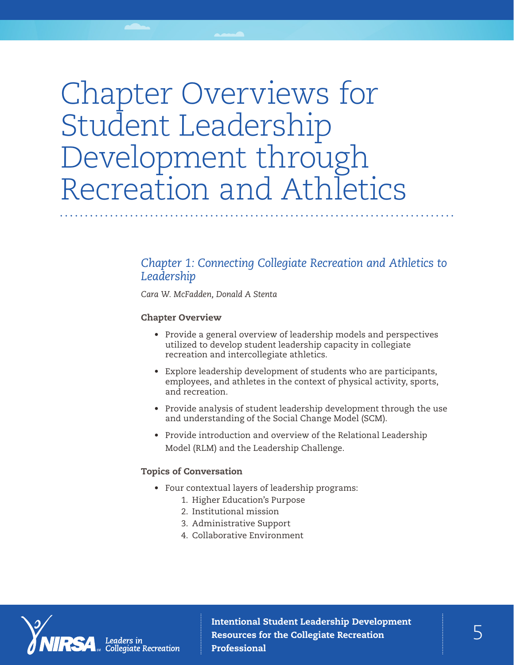# Chapter Overviews for Student Leadership Development through Recreation and Athletics

# *Chapter 1: Connecting Collegiate Recreation and Athletics to Leadership*

*Cara W. McFadden, Donald A Stenta*

### Chapter Overview

- Provide a general overview of leadership models and perspectives utilized to develop student leadership capacity in collegiate recreation and intercollegiate athletics.
- Explore leadership development of students who are participants, employees, and athletes in the context of physical activity, sports, and recreation.
- Provide analysis of student leadership development through the use and understanding of the Social Change Model (SCM).
- Provide introduction and overview of the Relational Leadership Model (RLM) and the Leadership Challenge.

# Topics of Conversation

- Four contextual layers of leadership programs:
	- 1. Higher Education's Purpose
	- 2. Institutional mission
	- 3. Administrative Support
	- 4. Collaborative Environment



Intentional Student Leadership Development<br>Resources for the Collegiate Recreation Resources for the Collegiate Recreation Professional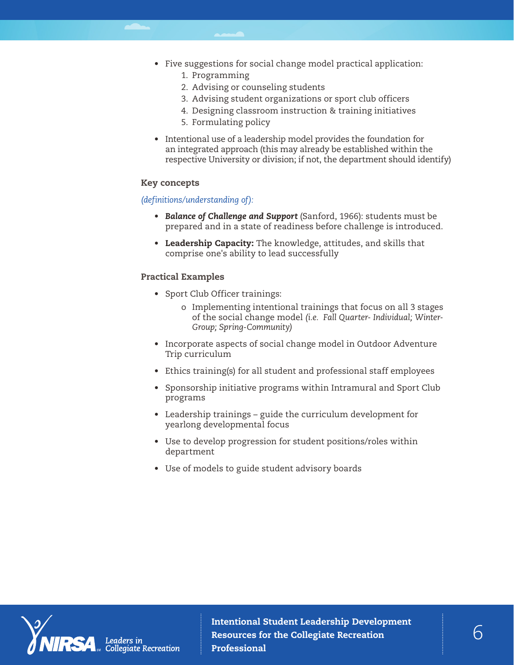- Five suggestions for social change model practical application:
	- 1. Programming
	- 2. Advising or counseling students
	- 3. Advising student organizations or sport club officers
	- 4. Designing classroom instruction & training initiatives
	- 5. Formulating policy
- Intentional use of a leadership model provides the foundation for an integrated approach (this may already be established within the respective University or division; if not, the department should identify)

#### Key concepts

### *(definitions/understanding of):*

- *• Balance of Challenge and Support* (Sanford, 1966): students must be prepared and in a state of readiness before challenge is introduced.
- Leadership Capacity: The knowledge, attitudes, and skills that comprise one's ability to lead successfully

### Practical Examples

- Sport Club Officer trainings:
	- o Implementing intentional trainings that focus on all 3 stages of the social change model *(i.e. Fall Quarter- Individual; Winter-Group; Spring-Community)*
- Incorporate aspects of social change model in Outdoor Adventure Trip curriculum
- Ethics training(s) for all student and professional staff employees
- Sponsorship initiative programs within Intramural and Sport Club programs
- Leadership trainings guide the curriculum development for yearlong developmental focus
- Use to develop progression for student positions/roles within department
- Use of models to guide student advisory boards

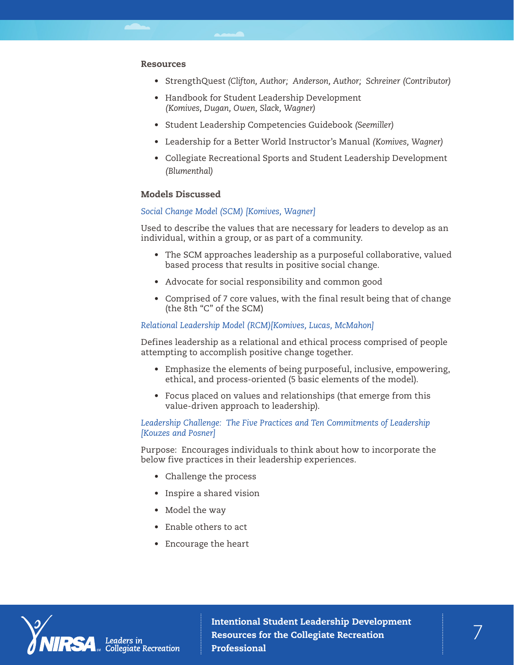#### Resources

- StrengthQuest *(Clifton, Author; Anderson, Author; Schreiner (Contributor)*
- Handbook for Student Leadership Development *(Komives, Dugan, Owen, Slack, Wagner)*
- Student Leadership Competencies Guidebook *(Seemiller)*
- Leadership for a Better World Instructor's Manual *(Komives, Wagner)*
- Collegiate Recreational Sports and Student Leadership Development *(Blumenthal)*

### Models Discussed

#### *Social Change Model (SCM) [Komives, Wagner]*

Used to describe the values that are necessary for leaders to develop as an individual, within a group, or as part of a community.

- The SCM approaches leadership as a purposeful collaborative, valued based process that results in positive social change.
- Advocate for social responsibility and common good
- Comprised of 7 core values, with the final result being that of change (the 8th "C" of the SCM)

#### *Relational Leadership Model (RCM)[Komives, Lucas, McMahon]*

Defines leadership as a relational and ethical process comprised of people attempting to accomplish positive change together.

- Emphasize the elements of being purposeful, inclusive, empowering, ethical, and process-oriented (5 basic elements of the model).
- Focus placed on values and relationships (that emerge from this value-driven approach to leadership).

#### *Leadership Challenge: The Five Practices and Ten Commitments of Leadership [Kouzes and Posner]*

Purpose: Encourages individuals to think about how to incorporate the below five practices in their leadership experiences.

- Challenge the process
- Inspire a shared vision
- Model the way
- Enable others to act
- Encourage the heart

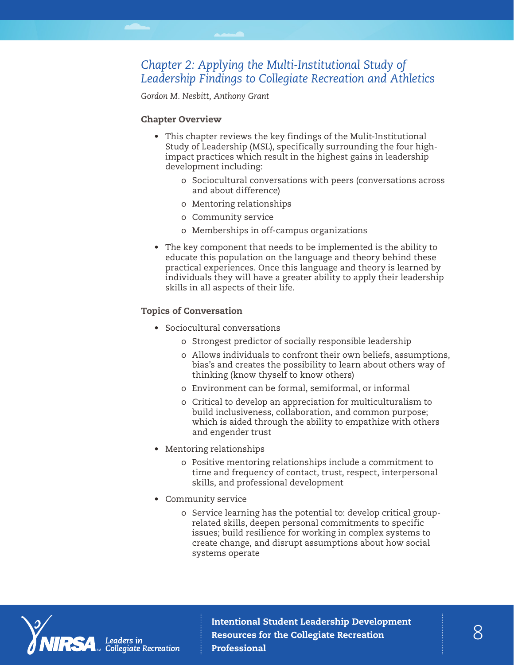# *Chapter 2: Applying the Multi-Institutional Study of Leadership Findings to Collegiate Recreation and Athletics*

*Gordon M. Nesbitt, Anthony Grant*

#### Chapter Overview

- This chapter reviews the key findings of the Mulit-Institutional Study of Leadership (MSL), specifically surrounding the four highimpact practices which result in the highest gains in leadership development including:
	- o Sociocultural conversations with peers (conversations across and about difference)
	- o Mentoring relationships
	- o Community service
	- o Memberships in off-campus organizations
- The key component that needs to be implemented is the ability to educate this population on the language and theory behind these practical experiences. Once this language and theory is learned by individuals they will have a greater ability to apply their leadership skills in all aspects of their life.

#### Topics of Conversation

- Sociocultural conversations
	- o Strongest predictor of socially responsible leadership
	- o Allows individuals to confront their own beliefs, assumptions, bias's and creates the possibility to learn about others way of thinking (know thyself to know others)
	- o Environment can be formal, semiformal, or informal
	- o Critical to develop an appreciation for multiculturalism to build inclusiveness, collaboration, and common purpose; which is aided through the ability to empathize with others and engender trust
- Mentoring relationships
	- o Positive mentoring relationships include a commitment to time and frequency of contact, trust, respect, interpersonal skills, and professional development
- Community service
	- o Service learning has the potential to: develop critical grouprelated skills, deepen personal commitments to specific issues; build resilience for working in complex systems to create change, and disrupt assumptions about how social systems operate



Intentional Student Leadership Development<br>Resources for the Collegiate Recreation Resources for the Collegiate Recreation Professional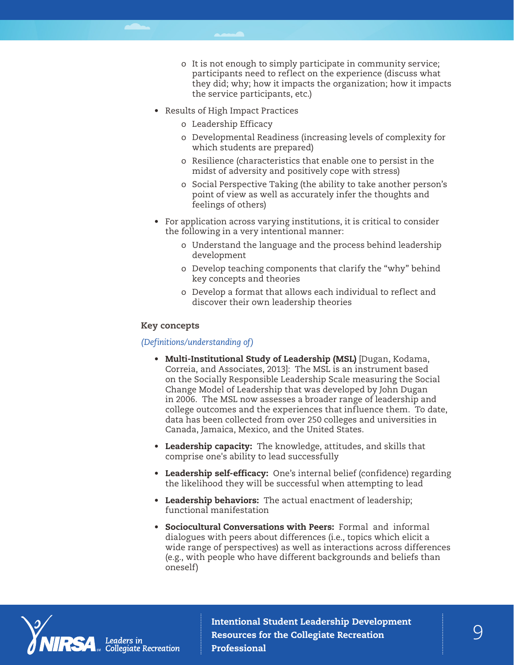- o It is not enough to simply participate in community service; participants need to reflect on the experience (discuss what they did; why; how it impacts the organization; how it impacts the service participants, etc.)
- Results of High Impact Practices
	- o Leadership Efficacy
	- o Developmental Readiness (increasing levels of complexity for which students are prepared)
	- o Resilience (characteristics that enable one to persist in the midst of adversity and positively cope with stress)
	- o Social Perspective Taking (the ability to take another person's point of view as well as accurately infer the thoughts and feelings of others)
- For application across varying institutions, it is critical to consider the following in a very intentional manner:
	- o Understand the language and the process behind leadership development
	- o Develop teaching components that clarify the "why" behind key concepts and theories
	- o Develop a format that allows each individual to reflect and discover their own leadership theories

#### Key concepts

#### *(Definitions/understanding of)*

- Multi-Institutional Study of Leadership (MSL) [Dugan, Kodama, Correia, and Associates, 2013]: The MSL is an instrument based on the Socially Responsible Leadership Scale measuring the Social Change Model of Leadership that was developed by John Dugan in 2006. The MSL now assesses a broader range of leadership and college outcomes and the experiences that influence them. To date, data has been collected from over 250 colleges and universities in Canada, Jamaica, Mexico, and the United States.
- Leadership capacity: The knowledge, attitudes, and skills that comprise one's ability to lead successfully
- Leadership self-efficacy: One's internal belief (confidence) regarding the likelihood they will be successful when attempting to lead
- Leadership behaviors: The actual enactment of leadership; functional manifestation
- Sociocultural Conversations with Peers: Formal and informal dialogues with peers about differences (i.e., topics which elicit a wide range of perspectives) as well as interactions across differences (e.g., with people who have different backgrounds and beliefs than oneself)

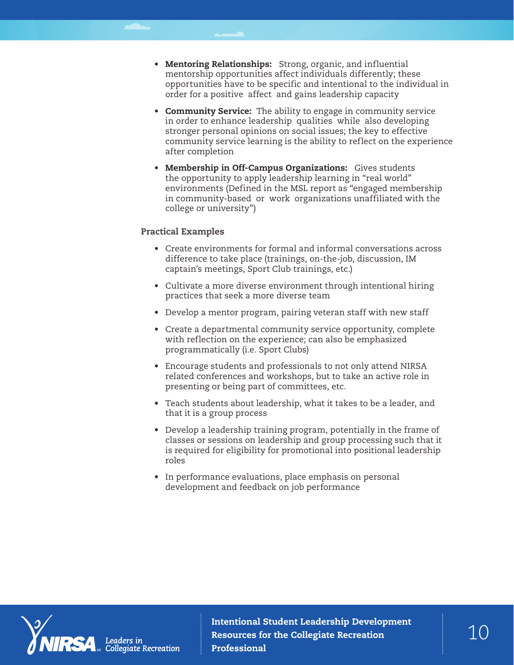- Mentoring Relationships: Strong, organic, and influential mentorship opportunities affect individuals differently; these opportunities have to be specific and intentional to the individual in order for a positive affect and gains leadership capacity
- Community Service: The ability to engage in community service in order to enhance leadership qualities while also developing stronger personal opinions on social issues; the key to effective community service learning is the ability to reflect on the experience after completion
- Membership in Off-Campus Organizations: Gives students the opportunity to apply leadership learning in "real world" environments (Defined in the MSL report as "engaged membership in community-based or work organizations unaffiliated with the college or university")

### Practical Examples

- Create environments for formal and informal conversations across difference to take place (trainings, on-the-job, discussion, IM captain's meetings, Sport Club trainings, etc.)
- Cultivate a more diverse environment through intentional hiring practices that seek a more diverse team
- Develop a mentor program, pairing veteran staff with new staff
- Create a departmental community service opportunity, complete with reflection on the experience; can also be emphasized programmatically (i.e. Sport Clubs)
- Encourage students and professionals to not only attend NIRSA related conferences and workshops, but to take an active role in presenting or being part of committees, etc.
- Teach students about leadership, what it takes to be a leader, and that it is a group process
- Develop a leadership training program, potentially in the frame of classes or sessions on leadership and group processing such that it is required for eligibility for promotional into positional leadership roles
- In performance evaluations, place emphasis on personal development and feedback on job performance

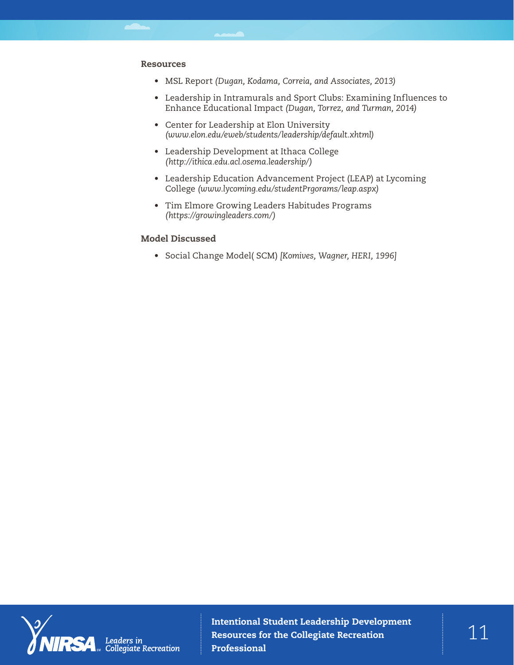#### Resources

- MSL Report *(Dugan, Kodama, Correia, and Associates, 2013)*
- Leadership in Intramurals and Sport Clubs: Examining Influences to Enhance Educational Impact *(Dugan, Torrez, and Turman, 2014)*
- Center for Leadership at Elon University *[\(www.elon.edu/eweb/students/leadership/default.xhtml\)](http://www.elon.edu/eweb/students/leadership/default.xhtml)*
- Leadership Development at Ithaca College *([http://ithica.edu.acl.osema.leadership/\)](http://ithica.edu.acl.osema.leadership/)*
- Leadership Education Advancement Project (LEAP) at Lycoming College *([www.lycoming.edu/studentPrgorams/leap.aspx\)](http://www.lycoming.edu/studentPrgorams/leap.aspx)*
- Tim Elmore Growing Leaders Habitudes Programs *([https://growingleaders.com/\)](https://growingleaders.com/)*

#### Model Discussed

• Social Change Model( SCM) *[Komives, Wagner, HERI, 1996]*



Intentional Student Leadership Development  $\mathbb{1}$ Professional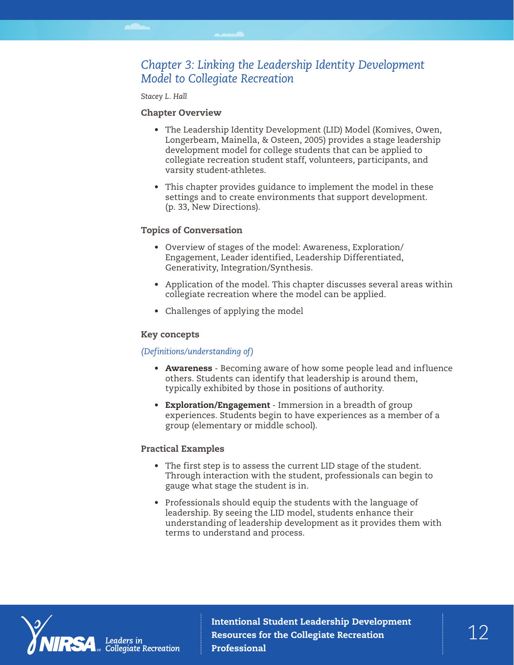# *Chapter 3: Linking the Leadership Identity Development Model to Collegiate Recreation*

*Stacey L. Hall*

### Chapter Overview

- The Leadership Identity Development (LID) Model (Komives, Owen, Longerbeam, Mainella, & Osteen, 2005) provides a stage leadership development model for college students that can be applied to collegiate recreation student staff, volunteers, participants, and varsity student-athletes.
- This chapter provides guidance to implement the model in these settings and to create environments that support development. (p. 33, New Directions).

### Topics of Conversation

- Overview of stages of the model: Awareness, Exploration/ Engagement, Leader identified, Leadership Differentiated, Generativity, Integration/Synthesis.
- Application of the model. This chapter discusses several areas within collegiate recreation where the model can be applied.
- Challenges of applying the model

#### Key concepts

#### *(Definitions/understanding of)*

- Awareness Becoming aware of how some people lead and influence others. Students can identify that leadership is around them, typically exhibited by those in positions of authority.
- Exploration/Engagement Immersion in a breadth of group experiences. Students begin to have experiences as a member of a group (elementary or middle school).

#### Practical Examples

- The first step is to assess the current LID stage of the student. Through interaction with the student, professionals can begin to gauge what stage the student is in.
- Professionals should equip the students with the language of leadership. By seeing the LID model, students enhance their understanding of leadership development as it provides them with terms to understand and process.



Intentional Student Leadership Development<br>Resources for the Collegiate Recreation  $\begin{array}{c} 1 \end{array}$ Resources for the Collegiate Recreation Professional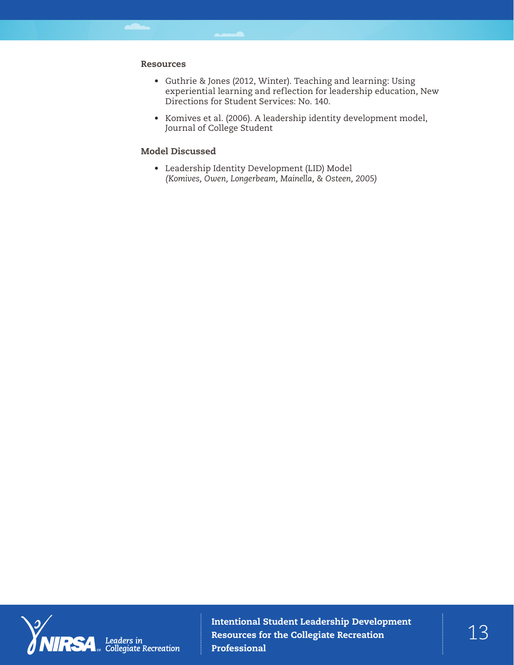## Resources

- Guthrie & Jones (2012, Winter). Teaching and learning: Using experiential learning and reflection for leadership education, New Directions for Student Services: No. 140.
- Komives et al. (2006). A leadership identity development model, Journal of College Student

# Model Discussed

• Leadership Identity Development (LID) Model *(Komives, Owen, Longerbeam, Mainella, & Osteen, 2005)*



Intentional Student Leadership Development  $\begin{array}{c} \texttt{13} \ \texttt{13} \end{array} \begin{array}{c} \texttt{14} \ \texttt{13} \end{array}$ Professional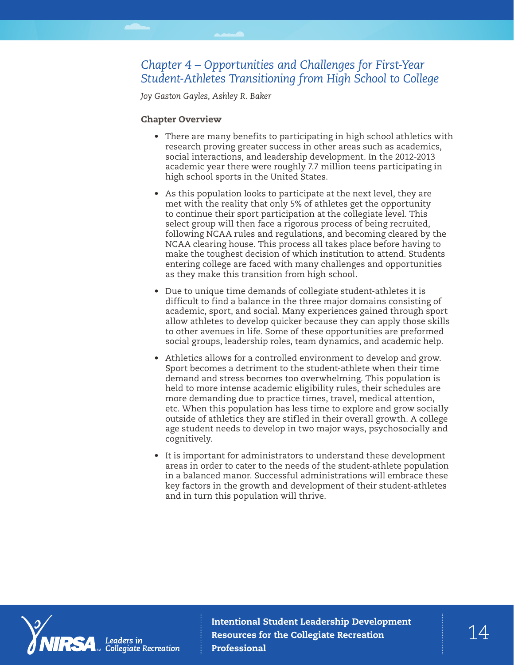# *Chapter 4 – Opportunities and Challenges for First-Year Student-Athletes Transitioning from High School to College*

*Joy Gaston Gayles, Ashley R. Baker*

# Chapter Overview

- There are many benefits to participating in high school athletics with research proving greater success in other areas such as academics, social interactions, and leadership development. In the 2012-2013 academic year there were roughly 7.7 million teens participating in high school sports in the United States.
- As this population looks to participate at the next level, they are met with the reality that only 5% of athletes get the opportunity to continue their sport participation at the collegiate level. This select group will then face a rigorous process of being recruited, following NCAA rules and regulations, and becoming cleared by the NCAA clearing house. This process all takes place before having to make the toughest decision of which institution to attend. Students entering college are faced with many challenges and opportunities as they make this transition from high school.
- Due to unique time demands of collegiate student-athletes it is difficult to find a balance in the three major domains consisting of academic, sport, and social. Many experiences gained through sport allow athletes to develop quicker because they can apply those skills to other avenues in life. Some of these opportunities are preformed social groups, leadership roles, team dynamics, and academic help.
- Athletics allows for a controlled environment to develop and grow. Sport becomes a detriment to the student-athlete when their time demand and stress becomes too overwhelming. This population is held to more intense academic eligibility rules, their schedules are more demanding due to practice times, travel, medical attention, etc. When this population has less time to explore and grow socially outside of athletics they are stifled in their overall growth. A college age student needs to develop in two major ways, psychosocially and cognitively.
- It is important for administrators to understand these development areas in order to cater to the needs of the student-athlete population in a balanced manor. Successful administrations will embrace these key factors in the growth and development of their student-athletes and in turn this population will thrive.



Intentional Student Leadership Development<br>Resources for the Collegiate Recreation  $\begin{array}{c} \uparrow \end{array}$ Resources for the Collegiate Recreation Professional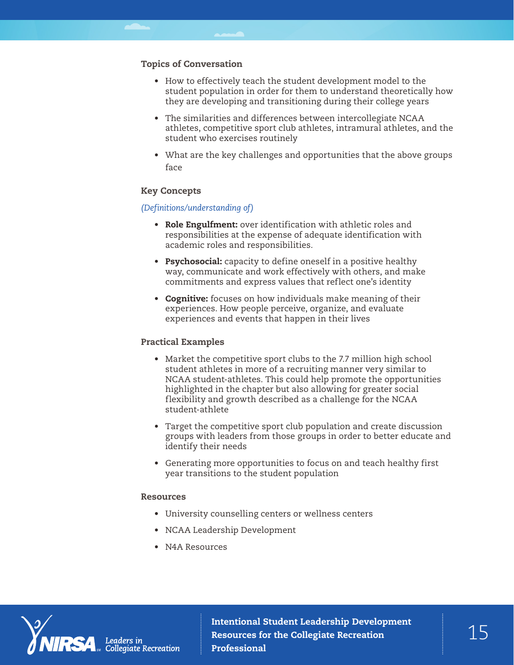## Topics of Conversation

- How to effectively teach the student development model to the student population in order for them to understand theoretically how they are developing and transitioning during their college years
- The similarities and differences between intercollegiate NCAA athletes, competitive sport club athletes, intramural athletes, and the student who exercises routinely
- What are the key challenges and opportunities that the above groups face

#### Key Concepts

### *(Definitions/understanding of)*

- Role Engulfment: over identification with athletic roles and responsibilities at the expense of adequate identification with academic roles and responsibilities.
- Psychosocial: capacity to define oneself in a positive healthy way, communicate and work effectively with others, and make commitments and express values that reflect one's identity
- Cognitive: focuses on how individuals make meaning of their experiences. How people perceive, organize, and evaluate experiences and events that happen in their lives

## Practical Examples

- Market the competitive sport clubs to the 7.7 million high school student athletes in more of a recruiting manner very similar to NCAA student-athletes. This could help promote the opportunities highlighted in the chapter but also allowing for greater social flexibility and growth described as a challenge for the NCAA student-athlete
- Target the competitive sport club population and create discussion groups with leaders from those groups in order to better educate and identify their needs
- Generating more opportunities to focus on and teach healthy first year transitions to the student population

#### Resources

- University counselling centers or wellness centers
- NCAA Leadership Development
- N4A Resources



Intentional Student Leadership Development<br>Resources for the Collegiate Recreation  $\begin{array}{c} \uparrow \\ \hline \end{array}$ Resources for the Collegiate Recreation Professional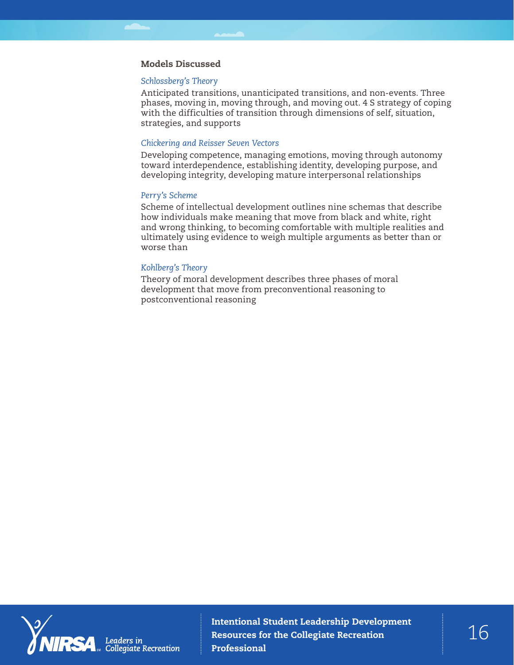### Models Discussed

#### *Schlossberg's Theory*

Anticipated transitions, unanticipated transitions, and non-events. Three phases, moving in, moving through, and moving out. 4 S strategy of coping with the difficulties of transition through dimensions of self, situation, strategies, and supports

#### *Chickering and Reisser Seven Vectors*

Developing competence, managing emotions, moving through autonomy toward interdependence, establishing identity, developing purpose, and developing integrity, developing mature interpersonal relationships

#### *Perry's Scheme*

Scheme of intellectual development outlines nine schemas that describe how individuals make meaning that move from black and white, right and wrong thinking, to becoming comfortable with multiple realities and ultimately using evidence to weigh multiple arguments as better than or worse than

#### *Kohlberg's Theory*

Theory of moral development describes three phases of moral development that move from preconventional reasoning to postconventional reasoning

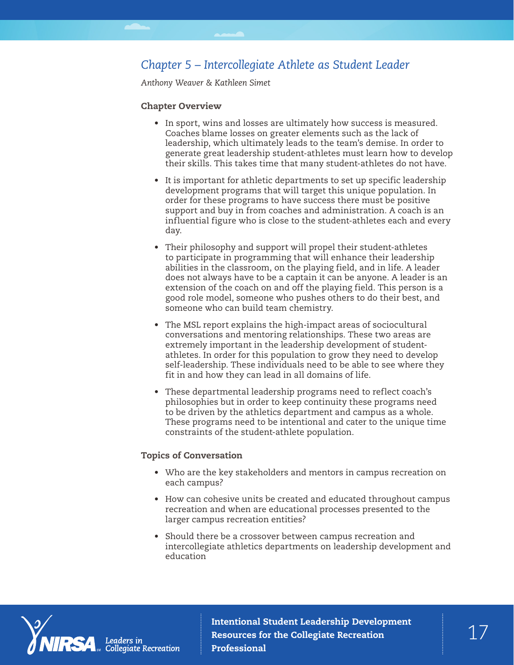# *Chapter 5 – Intercollegiate Athlete as Student Leader*

*Anthony Weaver & Kathleen Simet*

#### Chapter Overview

- In sport, wins and losses are ultimately how success is measured. Coaches blame losses on greater elements such as the lack of leadership, which ultimately leads to the team's demise. In order to generate great leadership student-athletes must learn how to develop their skills. This takes time that many student-athletes do not have.
- It is important for athletic departments to set up specific leadership development programs that will target this unique population. In order for these programs to have success there must be positive support and buy in from coaches and administration. A coach is an influential figure who is close to the student-athletes each and every day.
- Their philosophy and support will propel their student-athletes to participate in programming that will enhance their leadership abilities in the classroom, on the playing field, and in life. A leader does not always have to be a captain it can be anyone. A leader is an extension of the coach on and off the playing field. This person is a good role model, someone who pushes others to do their best, and someone who can build team chemistry.
- The MSL report explains the high-impact areas of sociocultural conversations and mentoring relationships. These two areas are extremely important in the leadership development of studentathletes. In order for this population to grow they need to develop self-leadership. These individuals need to be able to see where they fit in and how they can lead in all domains of life.
- These departmental leadership programs need to reflect coach's philosophies but in order to keep continuity these programs need to be driven by the athletics department and campus as a whole. These programs need to be intentional and cater to the unique time constraints of the student-athlete population.

#### Topics of Conversation

- Who are the key stakeholders and mentors in campus recreation on each campus?
- How can cohesive units be created and educated throughout campus recreation and when are educational processes presented to the larger campus recreation entities?
- Should there be a crossover between campus recreation and intercollegiate athletics departments on leadership development and education

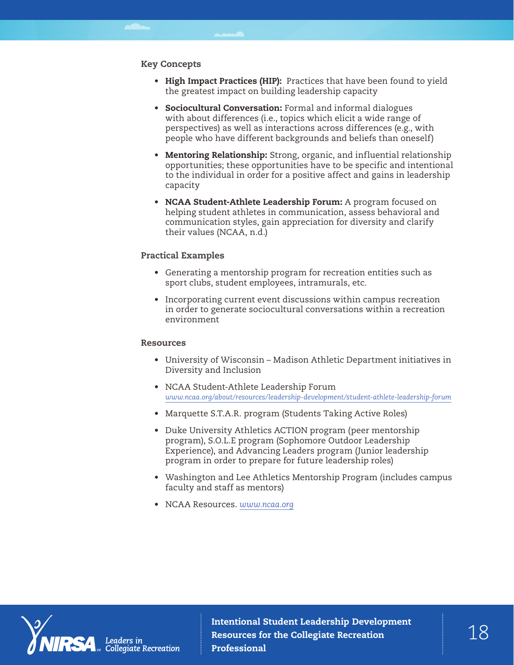### Key Concepts

- High Impact Practices (HIP): Practices that have been found to yield the greatest impact on building leadership capacity
- Sociocultural Conversation: Formal and informal dialogues with about differences (i.e., topics which elicit a wide range of perspectives) as well as interactions across differences (e.g., with people who have different backgrounds and beliefs than oneself)
- Mentoring Relationship: Strong, organic, and influential relationship opportunities; these opportunities have to be specific and intentional to the individual in order for a positive affect and gains in leadership capacity
- NCAA Student-Athlete Leadership Forum: A program focused on helping student athletes in communication, assess behavioral and communication styles, gain appreciation for diversity and clarify their values (NCAA, n.d.)

### Practical Examples

- Generating a mentorship program for recreation entities such as sport clubs, student employees, intramurals, etc.
- Incorporating current event discussions within campus recreation in order to generate sociocultural conversations within a recreation environment

#### Resources

- University of Wisconsin Madison Athletic Department initiatives in Diversity and Inclusion
- NCAA Student-Athlete Leadership Forum *[www.ncaa.org/about/resources/leadership-development/student-athlete-leadership-forum](http://www.ncaa.org/about/resources/leadership-development/student-athlete-leadership-forum)*
- Marquette S.T.A.R. program (Students Taking Active Roles)
- Duke University Athletics ACTION program (peer mentorship program), S.O.L.E program (Sophomore Outdoor Leadership Experience), and Advancing Leaders program (Junior leadership program in order to prepare for future leadership roles)
- Washington and Lee Athletics Mentorship Program (includes campus faculty and staff as mentors)
- NCAA Resources. *[www.ncaa.org](http://www.ncaa.org)*



Intentional Student Leadership Development<br>Resources for the Collegiate Recreation  $\begin{array}{c} 1 \ 1 \end{array}$ Resources for the Collegiate Recreation Professional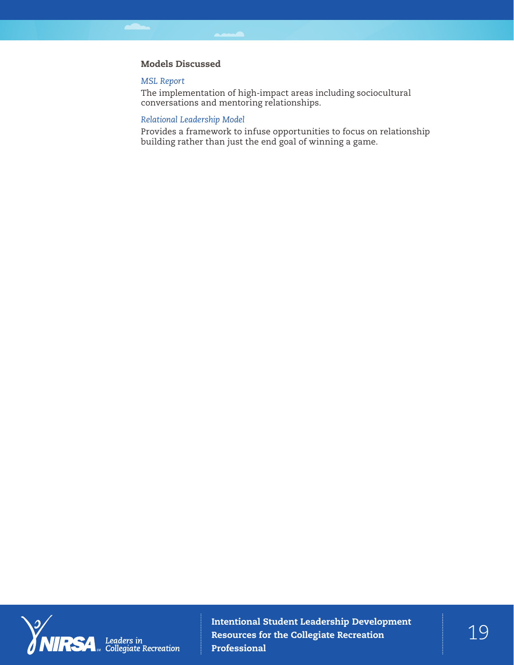# Models Discussed

#### *MSL Report*

The implementation of high-impact areas including sociocultural conversations and mentoring relationships.

# *Relational Leadership Model*

Provides a framework to infuse opportunities to focus on relationship building rather than just the end goal of winning a game.



Intentional Student Leadership Development  $\begin{array}{c} \texttt{19} \ \texttt{19} \end{array} \begin{array}{c} \texttt{19} \ \texttt{19} \end{array}$ Professional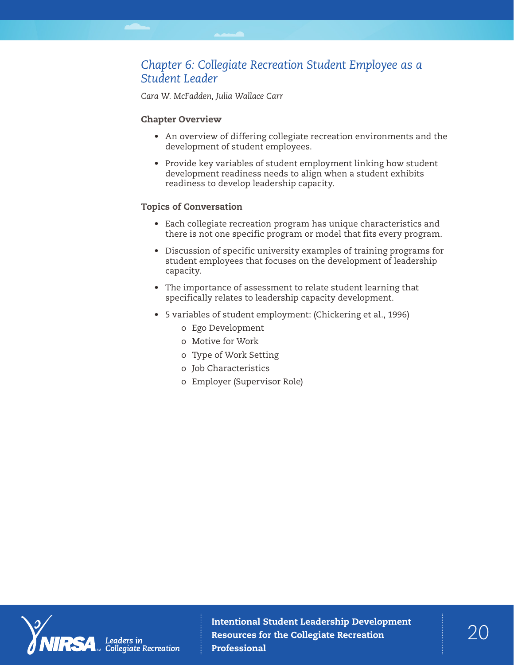# *Chapter 6: Collegiate Recreation Student Employee as a Student Leader*

*Cara W. McFadden, Julia Wallace Carr*

## Chapter Overview

- An overview of differing collegiate recreation environments and the development of student employees.
- Provide key variables of student employment linking how student development readiness needs to align when a student exhibits readiness to develop leadership capacity.

## Topics of Conversation

- Each collegiate recreation program has unique characteristics and there is not one specific program or model that fits every program.
- Discussion of specific university examples of training programs for student employees that focuses on the development of leadership capacity.
- The importance of assessment to relate student learning that specifically relates to leadership capacity development.
- 5 variables of student employment: (Chickering et al., 1996)
	- o Ego Development
	- o Motive for Work
	- o Type of Work Setting
	- o Job Characteristics
	- o Employer (Supervisor Role)

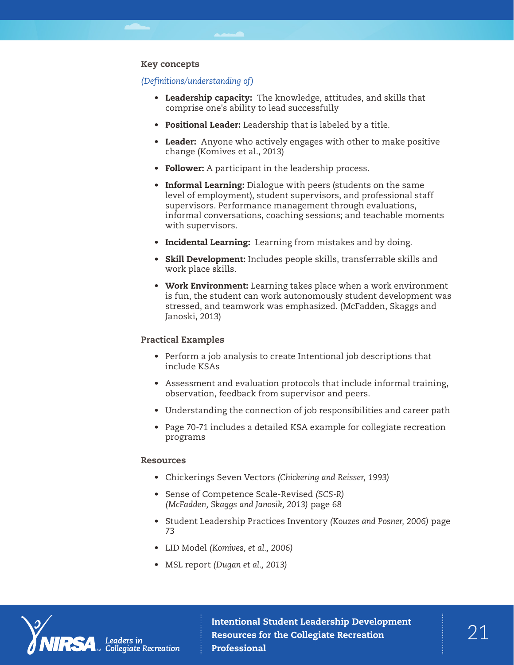# Key concepts

#### *(Definitions/understanding of)*

- Leadership capacity: The knowledge, attitudes, and skills that comprise one's ability to lead successfully
- Positional Leader: Leadership that is labeled by a title.
- Leader: Anyone who actively engages with other to make positive change (Komives et al., 2013)
- Follower: A participant in the leadership process.
- Informal Learning: Dialogue with peers (students on the same level of employment), student supervisors, and professional staff supervisors. Performance management through evaluations, informal conversations, coaching sessions; and teachable moments with supervisors.
- Incidental Learning: Learning from mistakes and by doing.
- Skill Development: Includes people skills, transferrable skills and work place skills.
- Work Environment: Learning takes place when a work environment is fun, the student can work autonomously student development was stressed, and teamwork was emphasized. (McFadden, Skaggs and Janoski, 2013)

#### Practical Examples

- Perform a job analysis to create Intentional job descriptions that include KSAs
- Assessment and evaluation protocols that include informal training, observation, feedback from supervisor and peers.
- Understanding the connection of job responsibilities and career path
- Page 70-71 includes a detailed KSA example for collegiate recreation programs

#### Resources

- Chickerings Seven Vectors *(Chickering and Reisser, 1993)*
- Sense of Competence Scale-Revised *(SCS-R) (McFadden, Skaggs and Janosik, 2013)* page 68
- Student Leadership Practices Inventory *(Kouzes and Posner, 2006)* page 73
- LID Model *(Komives, et al., 2006)*
- MSL report *(Dugan et al., 2013)*



Intentional Student Leadership Development<br>Resources for the Collegiate Recreation  $21$ Resources for the Collegiate Recreation Professional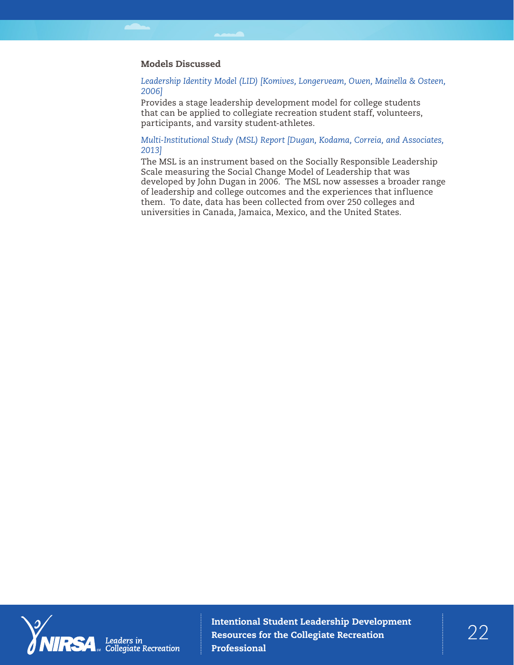## Models Discussed

*Leadership Identity Model (LID) [Komives, Longerveam, Owen, Mainella & Osteen, 2006]*

Provides a stage leadership development model for college students that can be applied to collegiate recreation student staff, volunteers, participants, and varsity student-athletes.

## *Multi-Institutional Study (MSL) Report [Dugan, Kodama, Correia, and Associates, 2013]*

The MSL is an instrument based on the Socially Responsible Leadership Scale measuring the Social Change Model of Leadership that was developed by John Dugan in 2006. The MSL now assesses a broader range of leadership and college outcomes and the experiences that influence them. To date, data has been collected from over 250 colleges and universities in Canada, Jamaica, Mexico, and the United States.

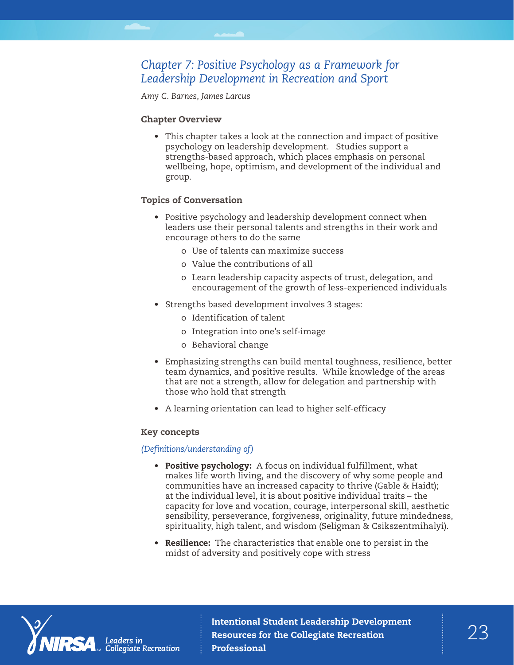# *Chapter 7: Positive Psychology as a Framework for Leadership Development in Recreation and Sport*

*Amy C. Barnes, James Larcus*

# Chapter Overview

• This chapter takes a look at the connection and impact of positive psychology on leadership development. Studies support a strengths-based approach, which places emphasis on personal wellbeing, hope, optimism, and development of the individual and group.

# Topics of Conversation

- Positive psychology and leadership development connect when leaders use their personal talents and strengths in their work and encourage others to do the same
	- o Use of talents can maximize success
	- o Value the contributions of all
	- o Learn leadership capacity aspects of trust, delegation, and encouragement of the growth of less-experienced individuals
- Strengths based development involves 3 stages:
	- o Identification of talent
	- o Integration into one's self-image
	- o Behavioral change
- Emphasizing strengths can build mental toughness, resilience, better team dynamics, and positive results. While knowledge of the areas that are not a strength, allow for delegation and partnership with those who hold that strength
- A learning orientation can lead to higher self-efficacy

# Key concepts

# *(Definitions/understanding of)*

- Positive psychology: A focus on individual fulfillment, what makes life worth living, and the discovery of why some people and communities have an increased capacity to thrive (Gable & Haidt); at the individual level, it is about positive individual traits – the capacity for love and vocation, courage, interpersonal skill, aesthetic sensibility, perseverance, forgiveness, originality, future mindedness, spirituality, high talent, and wisdom (Seligman & Csikszentmihalyi).
- **Resilience:** The characteristics that enable one to persist in the midst of adversity and positively cope with stress

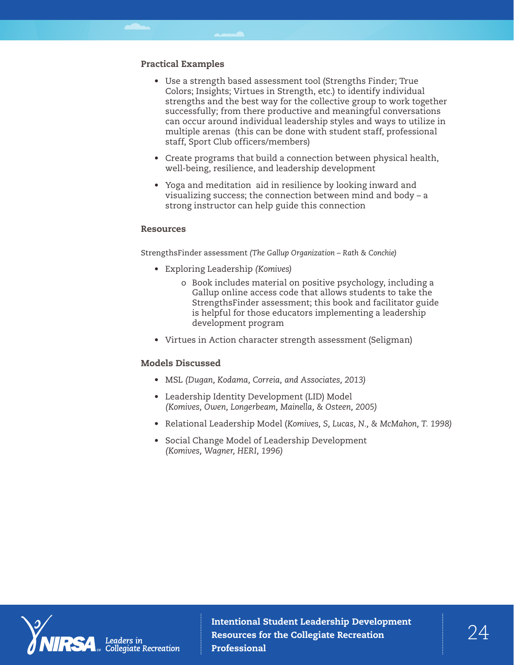# Practical Examples

- Use a strength based assessment tool (Strengths Finder; True Colors; Insights; Virtues in Strength, etc.) to identify individual strengths and the best way for the collective group to work together successfully; from there productive and meaningful conversations can occur around individual leadership styles and ways to utilize in multiple arenas (this can be done with student staff, professional staff, Sport Club officers/members)
- Create programs that build a connection between physical health, well-being, resilience, and leadership development
- Yoga and meditation aid in resilience by looking inward and visualizing success; the connection between mind and body – a strong instructor can help guide this connection

#### Resources

StrengthsFinder assessment *(The Gallup Organization – Rath & Conchie)*

- Exploring Leadership *(Komives)*
	- o Book includes material on positive psychology, including a Gallup online access code that allows students to take the StrengthsFinder assessment; this book and facilitator guide is helpful for those educators implementing a leadership development program
- Virtues in Action character strength assessment (Seligman)

#### Models Discussed

- MSL *(Dugan, Kodama, Correia, and Associates, 2013)*
- Leadership Identity Development (LID) Model *(Komives, Owen, Longerbeam, Mainella, & Osteen, 2005)*
- Relational Leadership Model (*Komives, S, Lucas, N., & McMahon, T. 1998)*
- Social Change Model of Leadership Development *(Komives, Wagner, HERI, 1996)*



Intentional Student Leadership Development  $24$ Professional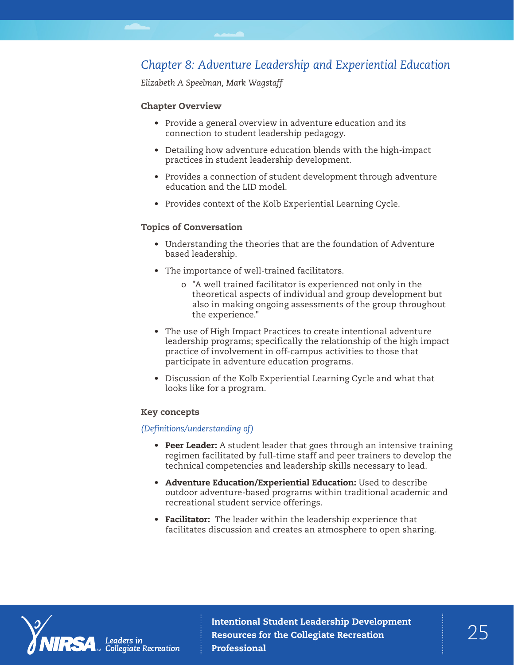# *Chapter 8: Adventure Leadership and Experiential Education*

*Elizabeth A Speelman, Mark Wagstaff*

## Chapter Overview

- Provide a general overview in adventure education and its connection to student leadership pedagogy.
- Detailing how adventure education blends with the high-impact practices in student leadership development.
- Provides a connection of student development through adventure education and the LID model.
- Provides context of the Kolb Experiential Learning Cycle.

### Topics of Conversation

- Understanding the theories that are the foundation of Adventure based leadership.
- The importance of well-trained facilitators.
	- o "A well trained facilitator is experienced not only in the theoretical aspects of individual and group development but also in making ongoing assessments of the group throughout the experience."
- The use of High Impact Practices to create intentional adventure leadership programs; specifically the relationship of the high impact practice of involvement in off-campus activities to those that participate in adventure education programs.
- Discussion of the Kolb Experiential Learning Cycle and what that looks like for a program.

#### Key concepts

### *(Definitions/understanding of)*

- Peer Leader: A student leader that goes through an intensive training regimen facilitated by full-time staff and peer trainers to develop the technical competencies and leadership skills necessary to lead.
- Adventure Education/Experiential Education: Used to describe outdoor adventure-based programs within traditional academic and recreational student service offerings.
- Facilitator: The leader within the leadership experience that facilitates discussion and creates an atmosphere to open sharing.

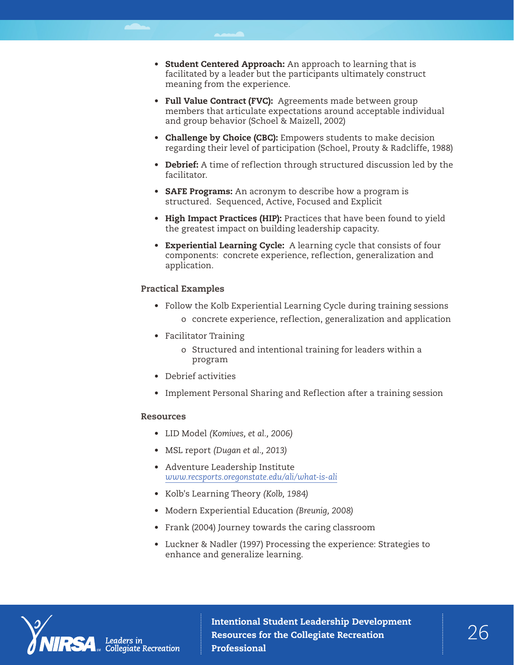- Student Centered Approach: An approach to learning that is facilitated by a leader but the participants ultimately construct meaning from the experience.
- Full Value Contract (FVC): Agreements made between group members that articulate expectations around acceptable individual and group behavior (Schoel & Maizell, 2002)
- Challenge by Choice (CBC): Empowers students to make decision regarding their level of participation (Schoel, Prouty & Radcliffe, 1988)
- Debrief: A time of reflection through structured discussion led by the facilitator.
- **SAFE Programs:** An acronym to describe how a program is structured. Sequenced, Active, Focused and Explicit
- High Impact Practices (HIP): Practices that have been found to yield the greatest impact on building leadership capacity.
- Experiential Learning Cycle: A learning cycle that consists of four components: concrete experience, reflection, generalization and application.

### Practical Examples

- Follow the Kolb Experiential Learning Cycle during training sessions
	- o concrete experience, reflection, generalization and application
- Facilitator Training
	- o Structured and intentional training for leaders within a program
- Debrief activities
- Implement Personal Sharing and Reflection after a training session

#### Resources

- LID Model *(Komives, et al., 2006)*
- MSL report *(Dugan et al., 2013)*
- Adventure Leadership Institute *[www.recsports.oregonstate.edu/ali/what-is-ali](http://recsports.oregonstate.edu/ali/what-is-ali)*
- Kolb's Learning Theory *(Kolb, 1984)*
- Modern Experiential Education *(Breunig, 2008)*
- Frank (2004) Journey towards the caring classroom
- Luckner & Nadler (1997) Processing the experience: Strategies to enhance and generalize learning.



Collegiate Recreation

Intentional Student Leadership Development  $26$ Professional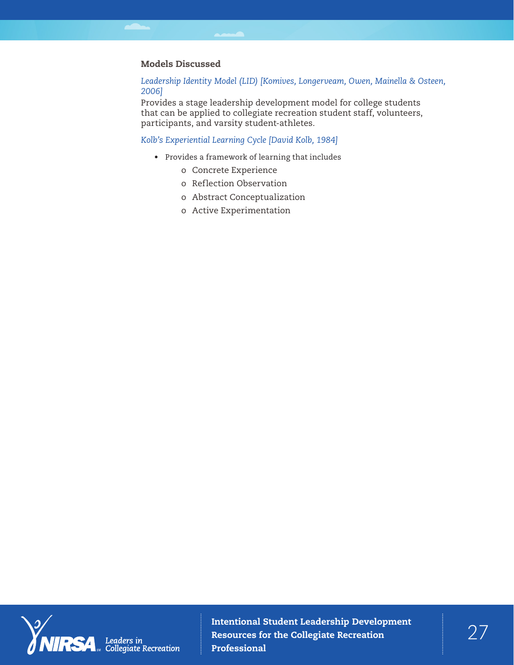## Models Discussed

## *Leadership Identity Model (LID) [Komives, Longerveam, Owen, Mainella & Osteen, 2006]*

Provides a stage leadership development model for college students that can be applied to collegiate recreation student staff, volunteers, participants, and varsity student-athletes.

# *Kolb's Experiential Learning Cycle [David Kolb, 1984]*

- Provides a framework of learning that includes
	- o Concrete Experience
	- o Reflection Observation
	- o Abstract Conceptualization
	- o Active Experimentation

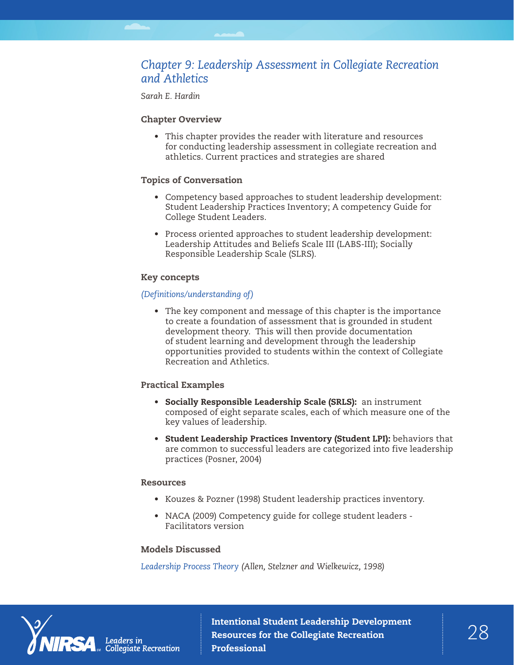# *Chapter 9: Leadership Assessment in Collegiate Recreation and Athletics*

*Sarah E. Hardin*

# Chapter Overview

• This chapter provides the reader with literature and resources for conducting leadership assessment in collegiate recreation and athletics. Current practices and strategies are shared

# Topics of Conversation

- Competency based approaches to student leadership development: Student Leadership Practices Inventory; A competency Guide for College Student Leaders.
- Process oriented approaches to student leadership development: Leadership Attitudes and Beliefs Scale III (LABS-III); Socially Responsible Leadership Scale (SLRS).

# Key concepts

# *(Definitions/understanding of)*

• The key component and message of this chapter is the importance to create a foundation of assessment that is grounded in student development theory. This will then provide documentation of student learning and development through the leadership opportunities provided to students within the context of Collegiate Recreation and Athletics.

# Practical Examples

- Socially Responsible Leadership Scale (SRLS): an instrument composed of eight separate scales, each of which measure one of the key values of leadership.
- Student Leadership Practices Inventory (Student LPI): behaviors that are common to successful leaders are categorized into five leadership practices (Posner, 2004)

# Resources

- Kouzes & Pozner (1998) Student leadership practices inventory.
- NACA (2009) Competency guide for college student leaders Facilitators version

# Models Discussed

*Leadership Process Theory (Allen, Stelzner and Wielkewicz, 1998)*

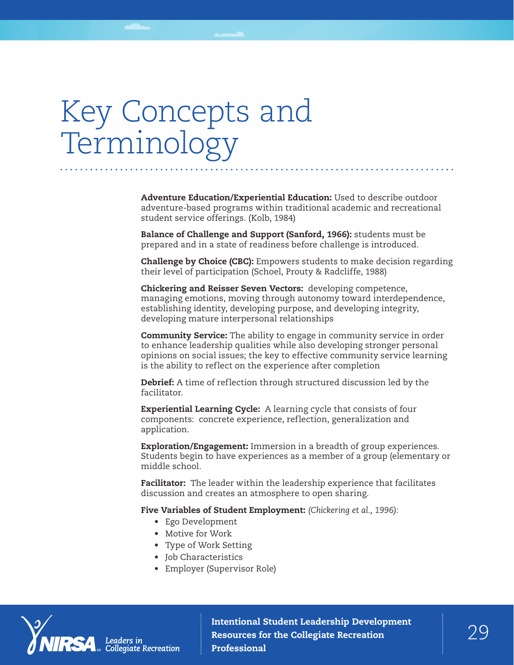# Key Concepts and Terminology

Adventure Education/Experiential Education: Used to describe outdoor adventure-based programs within traditional academic and recreational student service offerings. (Kolb, 1984)

Balance of Challenge and Support (Sanford, 1966): students must be prepared and in a state of readiness before challenge is introduced.

**Challenge by Choice (CBC):** Empowers students to make decision regarding their level of participation (Schoel, Prouty & Radcliffe, 1988)

Chickering and Reisser Seven Vectors: developing competence, managing emotions, moving through autonomy toward interdependence, establishing identity, developing purpose, and developing integrity, developing mature interpersonal relationships

**Community Service:** The ability to engage in community service in order to enhance leadership qualities while also developing stronger personal opinions on social issues; the key to effective community service learning is the ability to reflect on the experience after completion

Debrief: A time of reflection through structured discussion led by the facilitator.

**Experiential Learning Cycle:** A learning cycle that consists of four components: concrete experience, reflection, generalization and application.

**Exploration/Engagement:** Immersion in a breadth of group experiences. Students begin to have experiences as a member of a group (elementary or middle school.

Facilitator: The leader within the leadership experience that facilitates discussion and creates an atmosphere to open sharing.

Five Variables of Student Employment: *(Chickering et al., 1996):*

- Ego Development
- Motive for Work
- Type of Work Setting
- Job Characteristics
- Employer (Supervisor Role)

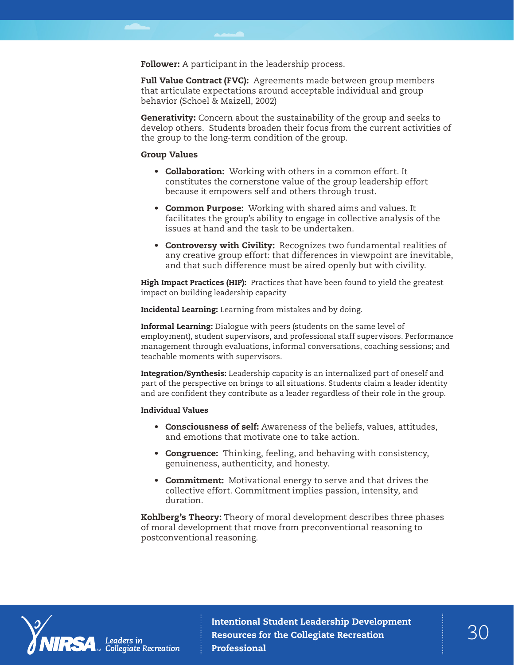Follower: A participant in the leadership process.

Full Value Contract (FVC): Agreements made between group members that articulate expectations around acceptable individual and group behavior (Schoel & Maizell, 2002)

Generativity: Concern about the sustainability of the group and seeks to develop others. Students broaden their focus from the current activities of the group to the long-term condition of the group.

#### Group Values

- Collaboration: Working with others in a common effort. It constitutes the cornerstone value of the group leadership effort because it empowers self and others through trust.
- Common Purpose: Working with shared aims and values. It facilitates the group's ability to engage in collective analysis of the issues at hand and the task to be undertaken.
- Controversy with Civility: Recognizes two fundamental realities of any creative group effort: that differences in viewpoint are inevitable, and that such difference must be aired openly but with civility.

High Impact Practices (HIP): Practices that have been found to yield the greatest impact on building leadership capacity

Incidental Learning: Learning from mistakes and by doing.

Informal Learning: Dialogue with peers (students on the same level of employment), student supervisors, and professional staff supervisors. Performance management through evaluations, informal conversations, coaching sessions; and teachable moments with supervisors.

Integration/Synthesis: Leadership capacity is an internalized part of oneself and part of the perspective on brings to all situations. Students claim a leader identity and are confident they contribute as a leader regardless of their role in the group.

#### Individual Values

- Consciousness of self: Awareness of the beliefs, values, attitudes, and emotions that motivate one to take action.
- Congruence: Thinking, feeling, and behaving with consistency, genuineness, authenticity, and honesty.
- Commitment: Motivational energy to serve and that drives the collective effort. Commitment implies passion, intensity, and duration.

Kohlberg's Theory: Theory of moral development describes three phases of moral development that move from preconventional reasoning to postconventional reasoning.

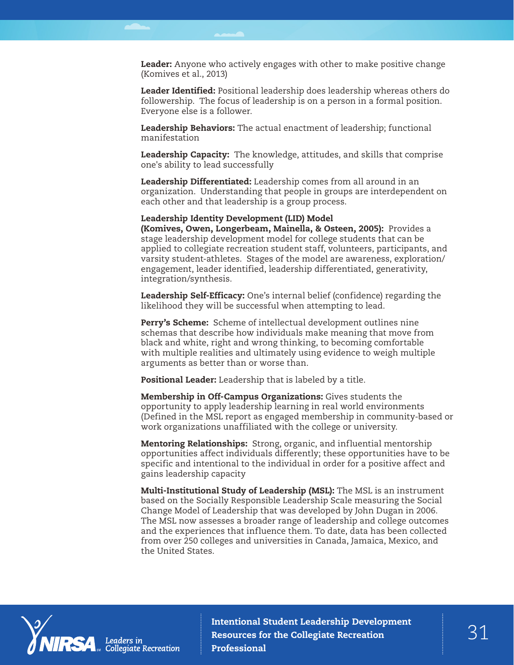Leader: Anyone who actively engages with other to make positive change (Komives et al., 2013)

Leader Identified: Positional leadership does leadership whereas others do followership. The focus of leadership is on a person in a formal position. Everyone else is a follower.

Leadership Behaviors: The actual enactment of leadership; functional manifestation

Leadership Capacity: The knowledge, attitudes, and skills that comprise one's ability to lead successfully

Leadership Differentiated: Leadership comes from all around in an organization. Understanding that people in groups are interdependent on each other and that leadership is a group process.

Leadership Identity Development (LID) Model

(Komives, Owen, Longerbeam, Mainella, & Osteen, 2005): Provides a stage leadership development model for college students that can be applied to collegiate recreation student staff, volunteers, participants, and varsity student-athletes. Stages of the model are awareness, exploration/ engagement, leader identified, leadership differentiated, generativity, integration/synthesis.

Leadership Self-Efficacy: One's internal belief (confidence) regarding the likelihood they will be successful when attempting to lead.

Perry's Scheme: Scheme of intellectual development outlines nine schemas that describe how individuals make meaning that move from black and white, right and wrong thinking, to becoming comfortable with multiple realities and ultimately using evidence to weigh multiple arguments as better than or worse than.

Positional Leader: Leadership that is labeled by a title.

Membership in Off-Campus Organizations: Gives students the opportunity to apply leadership learning in real world environments (Defined in the MSL report as engaged membership in community-based or work organizations unaffiliated with the college or university.

Mentoring Relationships: Strong, organic, and influential mentorship opportunities affect individuals differently; these opportunities have to be specific and intentional to the individual in order for a positive affect and gains leadership capacity

Multi-Institutional Study of Leadership (MSL): The MSL is an instrument based on the Socially Responsible Leadership Scale measuring the Social Change Model of Leadership that was developed by John Dugan in 2006. The MSL now assesses a broader range of leadership and college outcomes and the experiences that influence them. To date, data has been collected from over 250 colleges and universities in Canada, Jamaica, Mexico, and the United States.



Intentional Student Leadership Development<br>Resources for the Collegiate Recreation Resources for the Collegiate Recreation Professional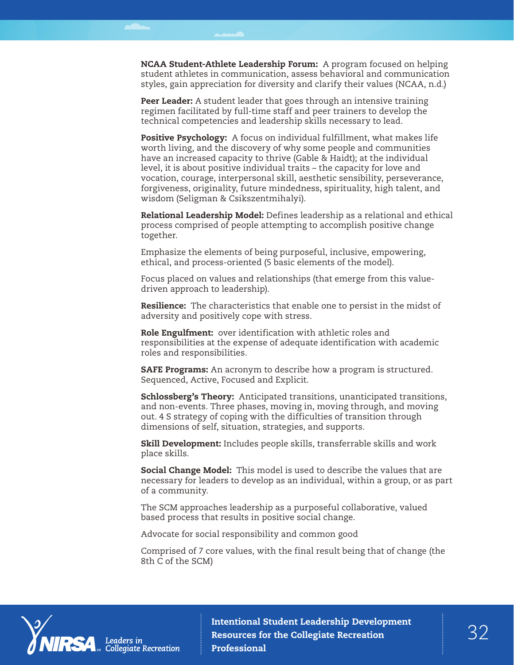NCAA Student-Athlete Leadership Forum: A program focused on helping student athletes in communication, assess behavioral and communication styles, gain appreciation for diversity and clarify their values (NCAA, n.d.)

Peer Leader: A student leader that goes through an intensive training regimen facilitated by full-time staff and peer trainers to develop the technical competencies and leadership skills necessary to lead.

Positive Psychology: A focus on individual fulfillment, what makes life worth living, and the discovery of why some people and communities have an increased capacity to thrive (Gable & Haidt); at the individual level, it is about positive individual traits – the capacity for love and vocation, courage, interpersonal skill, aesthetic sensibility, perseverance, forgiveness, originality, future mindedness, spirituality, high talent, and wisdom (Seligman & Csikszentmihalyi).

Relational Leadership Model: Defines leadership as a relational and ethical process comprised of people attempting to accomplish positive change together.

Emphasize the elements of being purposeful, inclusive, empowering, ethical, and process-oriented (5 basic elements of the model).

Focus placed on values and relationships (that emerge from this valuedriven approach to leadership).

Resilience: The characteristics that enable one to persist in the midst of adversity and positively cope with stress.

Role Engulfment: over identification with athletic roles and responsibilities at the expense of adequate identification with academic roles and responsibilities.

**SAFE Programs:** An acronym to describe how a program is structured. Sequenced, Active, Focused and Explicit.

Schlossberg's Theory: Anticipated transitions, unanticipated transitions, and non-events. Three phases, moving in, moving through, and moving out. 4 S strategy of coping with the difficulties of transition through dimensions of self, situation, strategies, and supports.

Skill Development: Includes people skills, transferrable skills and work place skills.

Social Change Model: This model is used to describe the values that are necessary for leaders to develop as an individual, within a group, or as part of a community.

The SCM approaches leadership as a purposeful collaborative, valued based process that results in positive social change.

Advocate for social responsibility and common good

Comprised of 7 core values, with the final result being that of change (the 8th C of the SCM)



Intentional Student Leadership Development<br>Resources for the Collegiate Recreation  $32$ Resources for the Collegiate Recreation Professional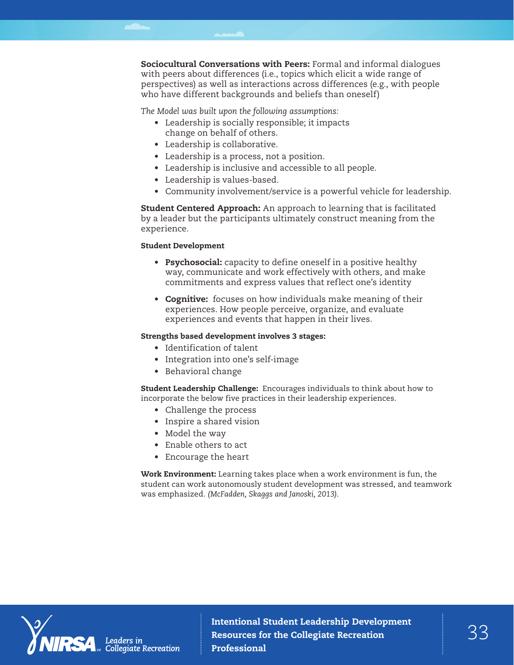Sociocultural Conversations with Peers: Formal and informal dialogues with peers about differences (i.e., topics which elicit a wide range of perspectives) as well as interactions across differences (e.g., with people who have different backgrounds and beliefs than oneself)

*The Model was built upon the following assumptions:*

- Leadership is socially responsible; it impacts change on behalf of others.
- Leadership is collaborative.
- Leadership is a process, not a position.
- Leadership is inclusive and accessible to all people.
- Leadership is values-based.
- Community involvement/service is a powerful vehicle for leadership.

**Student Centered Approach:** An approach to learning that is facilitated by a leader but the participants ultimately construct meaning from the experience.

#### Student Development

- Psychosocial: capacity to define oneself in a positive healthy way, communicate and work effectively with others, and make commitments and express values that reflect one's identity
- Cognitive: focuses on how individuals make meaning of their experiences. How people perceive, organize, and evaluate experiences and events that happen in their lives.

#### Strengths based development involves 3 stages:

- Identification of talent
- Integration into one's self-image
- Behavioral change

Student Leadership Challenge: Encourages individuals to think about how to incorporate the below five practices in their leadership experiences.

- Challenge the process
- Inspire a shared vision
- Model the way
- Enable others to act
- Encourage the heart

Work Environment: Learning takes place when a work environment is fun, the student can work autonomously student development was stressed, and teamwork was emphasized. *(McFadden, Skaggs and Janoski, 2013)*.



Collegiate Recreation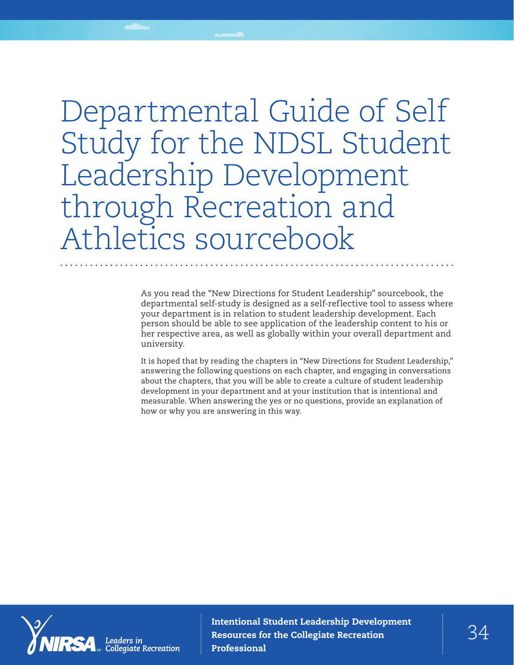# Departmental Guide of Self Study for the NDSL Student Leadership Development through Recreation and Athletics sourcebook

As you read the "New Directions for Student Leadership" sourcebook, the departmental self-study is designed as a self-reflective tool to assess where your department is in relation to student leadership development. Each person should be able to see application of the leadership content to his or her respective area, as well as globally within your overall department and university.

It is hoped that by reading the chapters in "New Directions for Student Leadership," answering the following questions on each chapter, and engaging in conversations about the chapters, that you will be able to create a culture of student leadership development in your department and at your institution that is intentional and measurable. When answering the yes or no questions, provide an explanation of how or why you are answering in this way.



Intentional Student Leadership Development<br>Recourses for the Collegiate Recreation Resources for the Collegiate Recreation Professional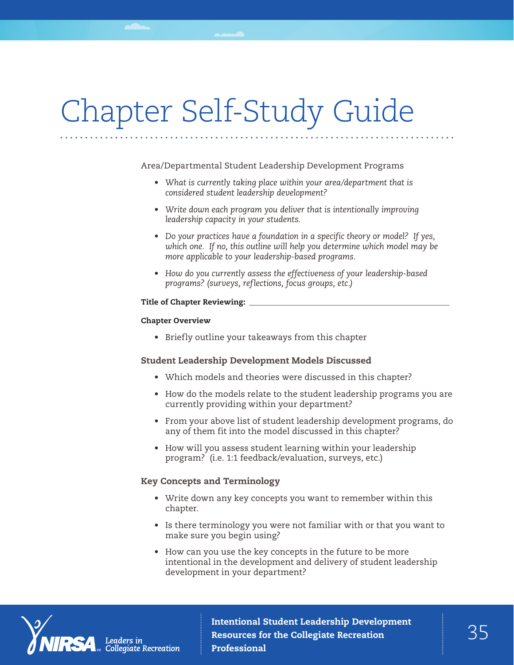# Chapter Self-Study Guide

Area/Departmental Student Leadership Development Programs

- *• What is currently taking place within your area/department that is considered student leadership development?*
- *• Write down each program you deliver that is intentionally improving leadership capacity in your students.*
- *• Do your practices have a foundation in a specific theory or model? If yes, which one. If no, this outline will help you determine which model may be more applicable to your leadership-based programs.*
- *• How do you currently assess the effectiveness of your leadership-based programs? (surveys, reflections, focus groups, etc.)*

#### Title of Chapter Reviewing:

### Chapter Overview

• Briefly outline your takeaways from this chapter

# Student Leadership Development Models Discussed

- Which models and theories were discussed in this chapter?
- How do the models relate to the student leadership programs you are currently providing within your department?
- From your above list of student leadership development programs, do any of them fit into the model discussed in this chapter?
- How will you assess student learning within your leadership program? (i.e. 1:1 feedback/evaluation, surveys, etc.)

# Key Concepts and Terminology

- Write down any key concepts you want to remember within this chapter.
- Is there terminology you were not familiar with or that you want to make sure you begin using?
- How can you use the key concepts in the future to be more intentional in the development and delivery of student leadership development in your department?



Intentional Student Leadership Development<br>Resources for the Collegiate Recreation  $35$ Resources for the Collegiate Recreation Professional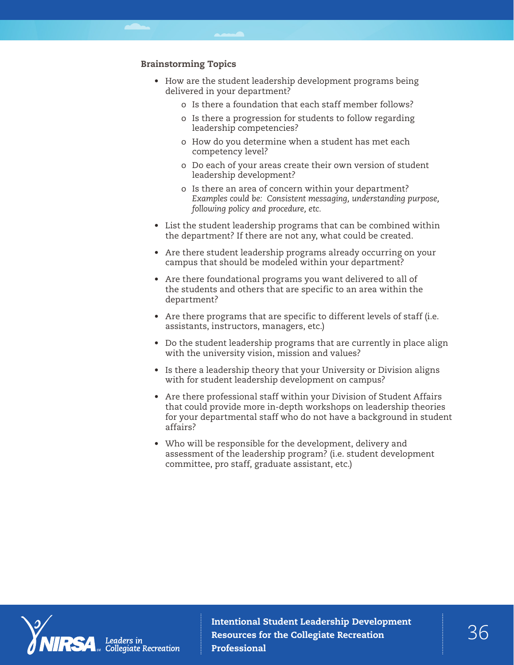# Brainstorming Topics

- How are the student leadership development programs being delivered in your department?
	- o Is there a foundation that each staff member follows?
	- o Is there a progression for students to follow regarding leadership competencies?
	- o How do you determine when a student has met each competency level?
	- o Do each of your areas create their own version of student leadership development?
	- o Is there an area of concern within your department? *Examples could be: Consistent messaging, understanding purpose, following policy and procedure, etc.*
- List the student leadership programs that can be combined within the department? If there are not any, what could be created.
- Are there student leadership programs already occurring on your campus that should be modeled within your department?
- Are there foundational programs you want delivered to all of the students and others that are specific to an area within the department?
- Are there programs that are specific to different levels of staff (i.e. assistants, instructors, managers, etc.)
- Do the student leadership programs that are currently in place align with the university vision, mission and values?
- Is there a leadership theory that your University or Division aligns with for student leadership development on campus?
- Are there professional staff within your Division of Student Affairs that could provide more in-depth workshops on leadership theories for your departmental staff who do not have a background in student affairs?
- Who will be responsible for the development, delivery and assessment of the leadership program? (i.e. student development committee, pro staff, graduate assistant, etc.)